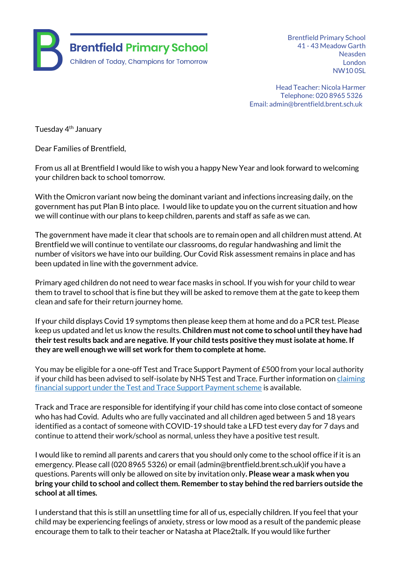

Brentfield Primary School 41 - 43 Meadow Garth Neasden London NW10 0SL

Head Teacher: Nicola Harmer Telephone: 020 8965 5326 Email: admin@brentfield.brent.sch.uk

Tuesday 4<sup>th</sup> January

Dear Families of Brentfield,

From us all at Brentfield I would like to wish you a happy New Year and look forward to welcoming your children back to school tomorrow.

With the Omicron variant now being the dominant variant and infections increasing daily, on the government has put Plan B into place. I would like to update you on the current situation and how we will continue with our plans to keep children, parents and staff as safe as we can.

The government have made it clear that schools are to remain open and all children must attend. At Brentfield we will continue to ventilate our classrooms, do regular handwashing and limit the number of visitors we have into our building. Our Covid Risk assessment remains in place and has been updated in line with the government advice.

Primary aged children do not need to wear face masks in school. If you wish for your child to wear them to travel to school that is fine but they will be asked to remove them at the gate to keep them clean and safe for their return journey home.

If your child displays Covid 19 symptoms then please keep them at home and do a PCR test. Please keep us updated and let us know the results. **Children must not come to school until they have had their test results back and are negative. If your child tests positive they must isolate at home. If they are well enough we will set work for them to complete at home.**

You may be eligible for a one-off Test and Trace Support Payment of £500 from your local authority if your child has been advised to self-isolate by NHS Test and Trace. Further information on [claiming](https://www.gov.uk/government/publications/test-and-trace-support-payment-scheme-claiming-financial-support/claiming-financial-support-under-the-test-and-trace-support-payment-scheme)  [financial support under the Test and Trace Support Payment scheme](https://www.gov.uk/government/publications/test-and-trace-support-payment-scheme-claiming-financial-support/claiming-financial-support-under-the-test-and-trace-support-payment-scheme) is available.

Track and Trace are responsible for identifying if your child has come into close contact of someone who has had Covid. Adults who are fully vaccinated and all children aged between 5 and 18 years identified as a contact of someone with COVID-19 should take a LFD test every day for 7 days and continue to attend their work/school as normal, unless they have a positive test result.

I would like to remind all parents and carers that you should only come to the school office if it is an emergency. Please call (020 8965 5326) or email (admin@brentfield.brent.sch.uk)if you have a questions. Parents will only be allowed on site by invitation only**. Please wear a mask when you bring your child to school and collect them. Remember to stay behind the red barriers outside the school at all times.**

I understand that this is still an unsettling time for all of us, especially children. If you feel that your child may be experiencing feelings of anxiety, stress or low mood as a result of the pandemic please encourage them to talk to their teacher or Natasha at Place2talk. If you would like further